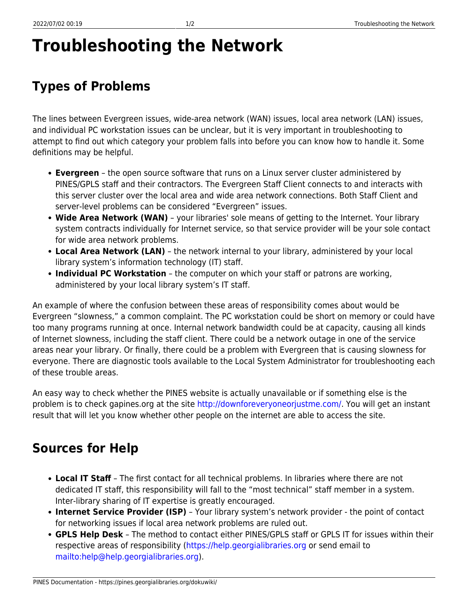PINES Documentation - https://pines.georgialibraries.org/dokuwiki/

## **Troubleshooting the Network**

## **Types of Problems**

The lines between Evergreen issues, wide-area network (WAN) issues, local area network (LAN) issues, and individual PC workstation issues can be unclear, but it is very important in troubleshooting to attempt to find out which category your problem falls into before you can know how to handle it. Some definitions may be helpful.

- **Evergreen** the open source software that runs on a Linux server cluster administered by PINES/GPLS staff and their contractors. The Evergreen Staff Client connects to and interacts with this server cluster over the local area and wide area network connections. Both Staff Client and server-level problems can be considered "Evergreen" issues.
- **Wide Area Network (WAN)** your libraries' sole means of getting to the Internet. Your library system contracts individually for Internet service, so that service provider will be your sole contact for wide area network problems.
- **Local Area Network (LAN)** the network internal to your library, administered by your local library system's information technology (IT) staff.
- **Individual PC Workstation** the computer on which your staff or patrons are working, administered by your local library system's IT staff.

An example of where the confusion between these areas of responsibility comes about would be Evergreen "slowness," a common complaint. The PC workstation could be short on memory or could have too many programs running at once. Internal network bandwidth could be at capacity, causing all kinds of Internet slowness, including the staff client. There could be a network outage in one of the service areas near your library. Or finally, there could be a problem with Evergreen that is causing slowness for everyone. There are diagnostic tools available to the Local System Administrator for troubleshooting each of these trouble areas.

An easy way to check whether the PINES website is actually unavailable or if something else is the problem is to check gapines.org at the site [http://downforeveryoneorjustme.com/.](http://downforeveryoneorjustme.com/) You will get an instant result that will let you know whether other people on the internet are able to access the site.

## **Sources for Help**

- **Local IT Staff** The first contact for all technical problems. In libraries where there are not dedicated IT staff, this responsibility will fall to the "most technical" staff member in a system. Inter-library sharing of IT expertise is greatly encouraged.
- **Internet Service Provider (ISP)** Your library system's network provider the point of contact for networking issues if local area network problems are ruled out.
- **GPLS Help Desk** The method to contact either PINES/GPLS staff or GPLS IT for issues within their respective areas of responsibility (<https://help.georgialibraries.org>or send email to [mailto:help@help.georgialibraries.org\)](mailto:mailto:help@help.georgialibraries.org).